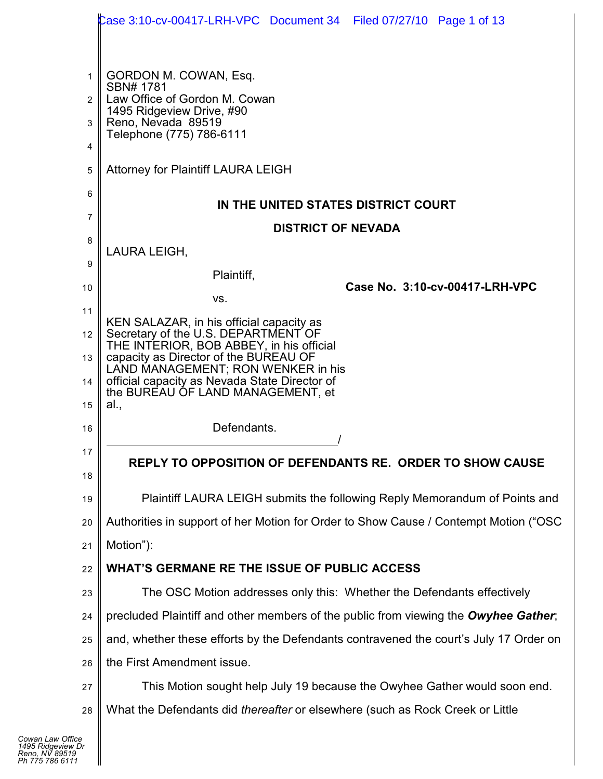|                | Case 3:10-cv-00417-LRH-VPC Document 34 Filed 07/27/10 Page 1 of 13                    |
|----------------|---------------------------------------------------------------------------------------|
|                |                                                                                       |
| 1              | GORDON M. COWAN, Esq.                                                                 |
| 2              | SBN# 1781<br>Law Office of Gordon M. Cowan                                            |
| 3              | 1495 Ridgeview Drive, #90<br>Reno, Nevada 89519                                       |
| 4              | Telephone (775) 786-6111                                                              |
| $\overline{5}$ | Attorney for Plaintiff LAURA LEIGH                                                    |
| 6              | IN THE UNITED STATES DISTRICT COURT                                                   |
| $\overline{7}$ |                                                                                       |
| 8              | <b>DISTRICT OF NEVADA</b>                                                             |
| 9              | LAURA LEIGH,                                                                          |
| 10             | Plaintiff,<br>Case No. 3:10-cv-00417-LRH-VPC                                          |
| 11             | VS.                                                                                   |
| 12             | KEN SALAZAR, in his official capacity as<br>Secretary of the U.S. DEPARTMENT OF       |
| 13             | THE INTERIOR, BOB ABBEY, in his official<br>capacity as Director of the BUREAU OF     |
| 14             | LAND MANAGEMENT; RON WENKER in his<br>official capacity as Nevada State Director of   |
| 15             | the BUREAU OF LAND MANAGEMENT, et<br>al.,                                             |
| 16             | Defendants.                                                                           |
| 17             | <b>REPLY TO OPPOSITION OF DEFENDANTS RE. ORDER TO SHOW CAUSE</b>                      |
| 18             |                                                                                       |
| 19             | Plaintiff LAURA LEIGH submits the following Reply Memorandum of Points and            |
| 20             | Authorities in support of her Motion for Order to Show Cause / Contempt Motion ("OSC  |
| 21             | Motion"):                                                                             |
| 22             | <b>WHAT'S GERMANE RE THE ISSUE OF PUBLIC ACCESS</b>                                   |
| 23             | The OSC Motion addresses only this: Whether the Defendants effectively                |
| 24             | precluded Plaintiff and other members of the public from viewing the Owyhee Gather;   |
| 25             | and, whether these efforts by the Defendants contravened the court's July 17 Order on |
| 26             | the First Amendment issue.                                                            |
| 27             | This Motion sought help July 19 because the Owyhee Gather would soon end.             |
| 28             | What the Defendants did thereafter or elsewhere (such as Rock Creek or Little         |
| e<br>Dr        |                                                                                       |
|                |                                                                                       |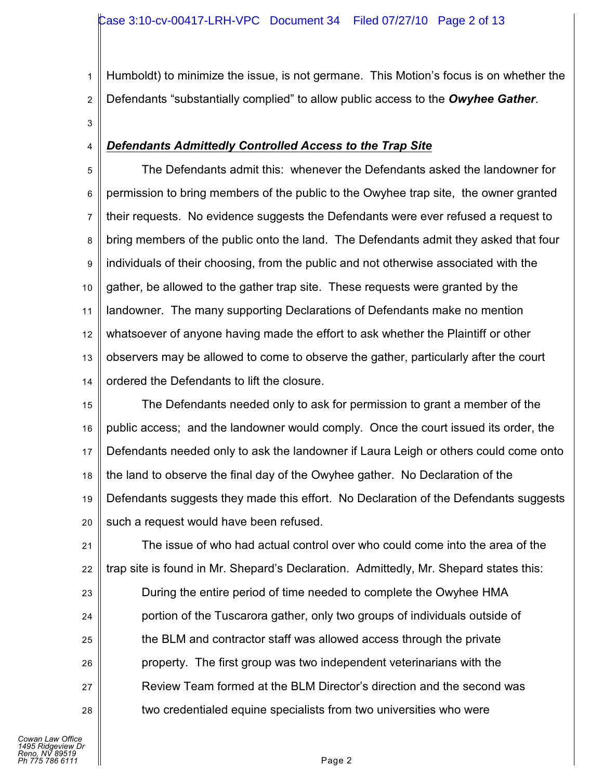1 2 Humboldt) to minimize the issue, is not germane. This Motion's focus is on whether the Defendants "substantially complied" to allow public access to the *Owyhee Gather*.

3

4

## *Defendants Admittedly Controlled Access to the Trap Site*

5 6 7 8 9 10 11 12 13 14 The Defendants admit this: whenever the Defendants asked the landowner for permission to bring members of the public to the Owyhee trap site, the owner granted their requests. No evidence suggests the Defendants were ever refused a request to bring members of the public onto the land. The Defendants admit they asked that four individuals of their choosing, from the public and not otherwise associated with the gather, be allowed to the gather trap site. These requests were granted by the landowner. The many supporting Declarations of Defendants make no mention whatsoever of anyone having made the effort to ask whether the Plaintiff or other observers may be allowed to come to observe the gather, particularly after the court ordered the Defendants to lift the closure.

15 16 17 18 19 20 The Defendants needed only to ask for permission to grant a member of the public access; and the landowner would comply. Once the court issued its order, the Defendants needed only to ask the landowner if Laura Leigh or others could come onto the land to observe the final day of the Owyhee gather. No Declaration of the Defendants suggests they made this effort. No Declaration of the Defendants suggests such a request would have been refused.

21 22 23 24 25 26 27 28 The issue of who had actual control over who could come into the area of the trap site is found in Mr. Shepard's Declaration. Admittedly, Mr. Shepard states this: During the entire period of time needed to complete the Owyhee HMA portion of the Tuscarora gather, only two groups of individuals outside of the BLM and contractor staff was allowed access through the private property. The first group was two independent veterinarians with the Review Team formed at the BLM Director's direction and the second was two credentialed equine specialists from two universities who were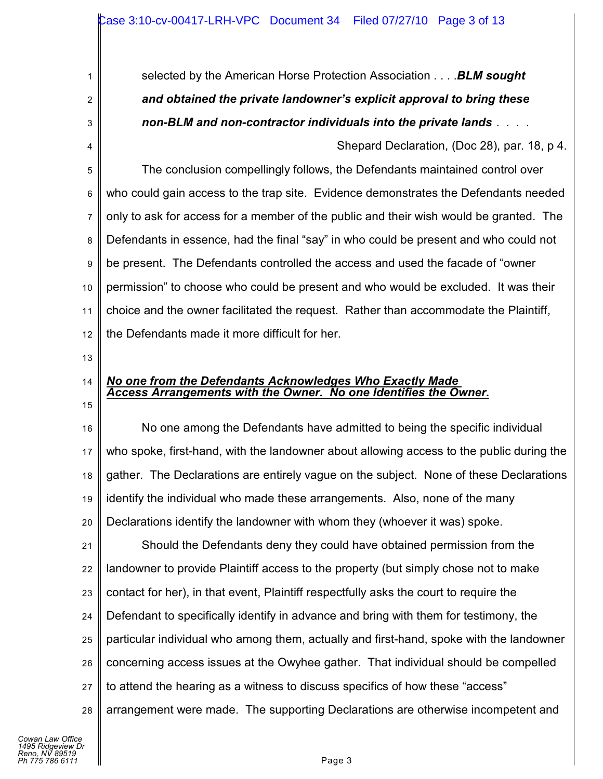selected by the American Horse Protection Association . . . .*BLM sought and obtained the private landowner's explicit approval to bring these non-BLM and non-contractor individuals into the private lands* . . . .

Shepard Declaration, (Doc 28), par. 18, p 4.

5 6 7 8 9 10 11 12 The conclusion compellingly follows, the Defendants maintained control over who could gain access to the trap site. Evidence demonstrates the Defendants needed only to ask for access for a member of the public and their wish would be granted. The Defendants in essence, had the final "say" in who could be present and who could not be present. The Defendants controlled the access and used the facade of "owner permission" to choose who could be present and who would be excluded. It was their choice and the owner facilitated the request. Rather than accommodate the Plaintiff, the Defendants made it more difficult for her.

13

1

2

3

4

- 14
- 15

#### 16 17 18 19 20 No one among the Defendants have admitted to being the specific individual who spoke, first-hand, with the landowner about allowing access to the public during the gather. The Declarations are entirely vague on the subject. None of these Declarations identify the individual who made these arrangements. Also, none of the many Declarations identify the landowner with whom they (whoever it was) spoke.

*No one from the Defendants Acknowledges Who Exactly Made Access Arrangements with the Owner. No one Identifies the Owner.*

21 22 23 24 25 26 27 Should the Defendants deny they could have obtained permission from the landowner to provide Plaintiff access to the property (but simply chose not to make contact for her), in that event, Plaintiff respectfully asks the court to require the Defendant to specifically identify in advance and bring with them for testimony, the particular individual who among them, actually and first-hand, spoke with the landowner concerning access issues at the Owyhee gather. That individual should be compelled to attend the hearing as a witness to discuss specifics of how these "access"

28 arrangement were made. The supporting Declarations are otherwise incompetent and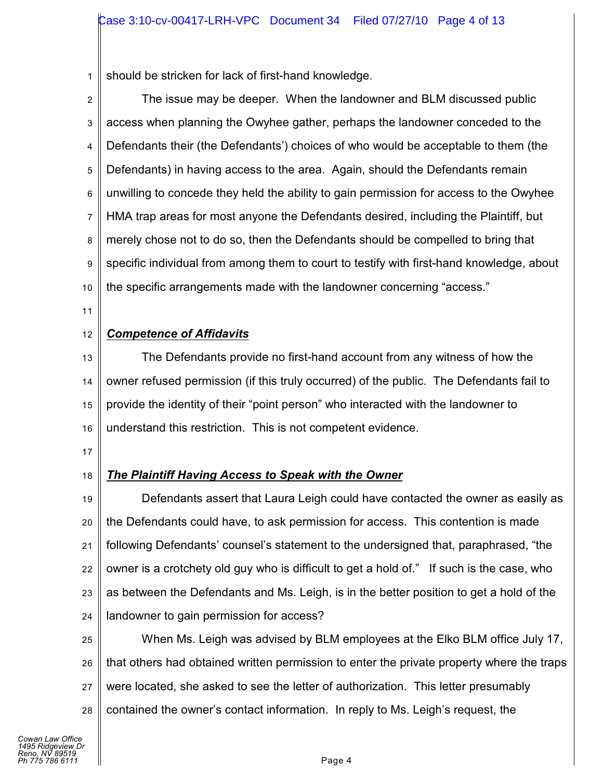1 should be stricken for lack of first-hand knowledge.

2 3 4 5 6 7 8 9 10 The issue may be deeper. When the landowner and BLM discussed public access when planning the Owyhee gather, perhaps the landowner conceded to the Defendants their (the Defendants') choices of who would be acceptable to them (the Defendants) in having access to the area. Again, should the Defendants remain unwilling to concede they held the ability to gain permission for access to the Owyhee HMA trap areas for most anyone the Defendants desired, including the Plaintiff, but merely chose not to do so, then the Defendants should be compelled to bring that specific individual from among them to court to testify with first-hand knowledge, about the specific arrangements made with the landowner concerning "access."

11

#### 12 *Competence of Affidavits*

13 14 15 16 The Defendants provide no first-hand account from any witness of how the owner refused permission (if this truly occurred) of the public. The Defendants fail to provide the identity of their "point person" who interacted with the landowner to understand this restriction. This is not competent evidence.

17

#### 18 *The Plaintiff Having Access to Speak with the Owner*

19 20 21 22 23 24 Defendants assert that Laura Leigh could have contacted the owner as easily as the Defendants could have, to ask permission for access. This contention is made following Defendants' counsel's statement to the undersigned that, paraphrased, "the owner is a crotchety old guy who is difficult to get a hold of." If such is the case, who as between the Defendants and Ms. Leigh, is in the better position to get a hold of the landowner to gain permission for access?

25 26 27 28 When Ms. Leigh was advised by BLM employees at the Elko BLM office July 17, that others had obtained written permission to enter the private property where the traps were located, she asked to see the letter of authorization. This letter presumably contained the owner's contact information. In reply to Ms. Leigh's request, the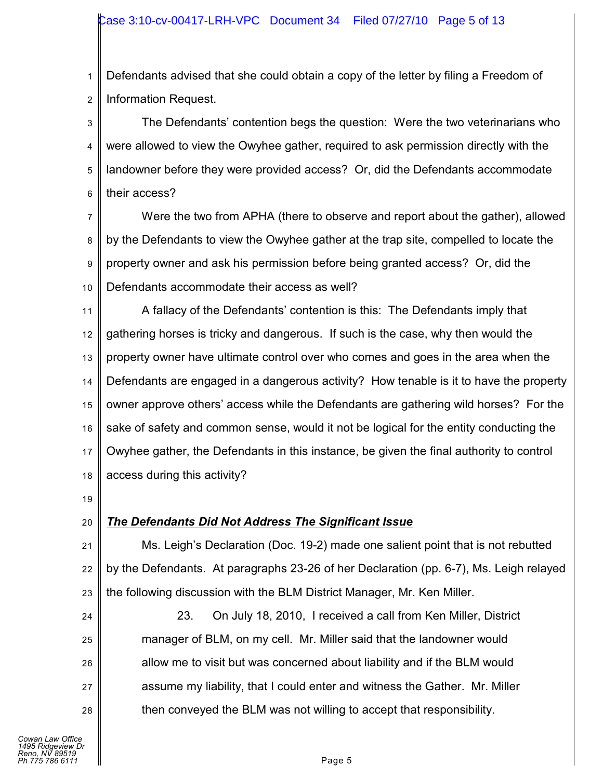1 2 Defendants advised that she could obtain a copy of the letter by filing a Freedom of Information Request.

3 4 5 6 The Defendants' contention begs the question: Were the two veterinarians who were allowed to view the Owyhee gather, required to ask permission directly with the landowner before they were provided access? Or, did the Defendants accommodate their access?

7 8 9 10 Were the two from APHA (there to observe and report about the gather), allowed by the Defendants to view the Owyhee gather at the trap site, compelled to locate the property owner and ask his permission before being granted access? Or, did the Defendants accommodate their access as well?

11 12 13 14 15 16 17 18 A fallacy of the Defendants' contention is this: The Defendants imply that gathering horses is tricky and dangerous. If such is the case, why then would the property owner have ultimate control over who comes and goes in the area when the Defendants are engaged in a dangerous activity? How tenable is it to have the property owner approve others' access while the Defendants are gathering wild horses? For the sake of safety and common sense, would it not be logical for the entity conducting the Owyhee gather, the Defendants in this instance, be given the final authority to control access during this activity?

19

20

24

25

26

27

28

# *The Defendants Did Not Address The Significant Issue*

21 22 23 Ms. Leigh's Declaration (Doc. 19-2) made one salient point that is not rebutted by the Defendants. At paragraphs 23-26 of her Declaration (pp. 6-7), Ms. Leigh relayed the following discussion with the BLM District Manager, Mr. Ken Miller.

23. On July 18, 2010, I received a call from Ken Miller, District manager of BLM, on my cell. Mr. Miller said that the landowner would allow me to visit but was concerned about liability and if the BLM would assume my liability, that I could enter and witness the Gather. Mr. Miller then conveyed the BLM was not willing to accept that responsibility.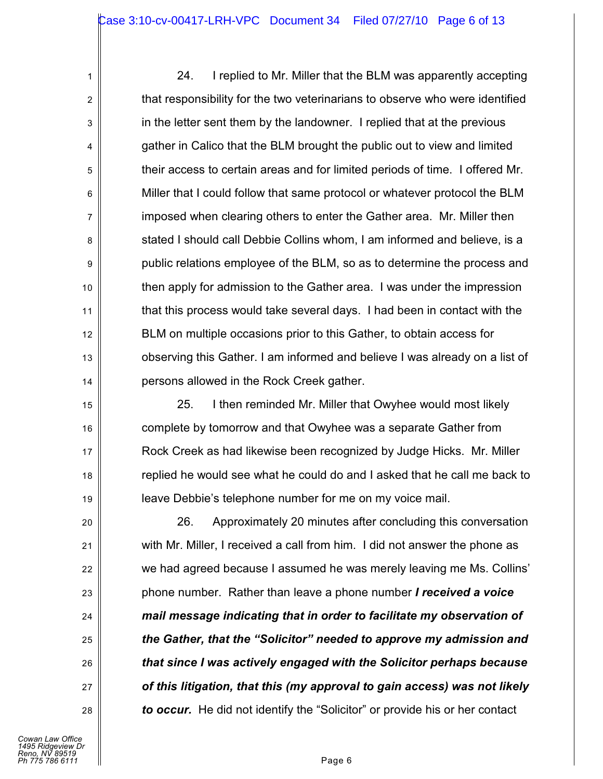24. I replied to Mr. Miller that the BLM was apparently accepting that responsibility for the two veterinarians to observe who were identified in the letter sent them by the landowner. I replied that at the previous gather in Calico that the BLM brought the public out to view and limited their access to certain areas and for limited periods of time. I offered Mr. Miller that I could follow that same protocol or whatever protocol the BLM imposed when clearing others to enter the Gather area. Mr. Miller then stated I should call Debbie Collins whom, I am informed and believe, is a public relations employee of the BLM, so as to determine the process and then apply for admission to the Gather area. I was under the impression that this process would take several days. I had been in contact with the BLM on multiple occasions prior to this Gather, to obtain access for observing this Gather. I am informed and believe I was already on a list of persons allowed in the Rock Creek gather.

25. I then reminded Mr. Miller that Owyhee would most likely complete by tomorrow and that Owyhee was a separate Gather from Rock Creek as had likewise been recognized by Judge Hicks. Mr. Miller replied he would see what he could do and I asked that he call me back to leave Debbie's telephone number for me on my voice mail.

26. Approximately 20 minutes after concluding this conversation with Mr. Miller, I received a call from him. I did not answer the phone as we had agreed because I assumed he was merely leaving me Ms. Collins' phone number. Rather than leave a phone number *I received a voice mail message indicating that in order to facilitate my observation of the Gather, that the "Solicitor" needed to approve my admission and that since I was actively engaged with the Solicitor perhaps because of this litigation, that this (my approval to gain access) was not likely to occur.* He did not identify the "Solicitor" or provide his or her contact

1

2

3

4

5

6

7

8

9

10

11

12

13

14

15

16

17

18

19

20

21

22

23

 $24$ 

25

26

27

28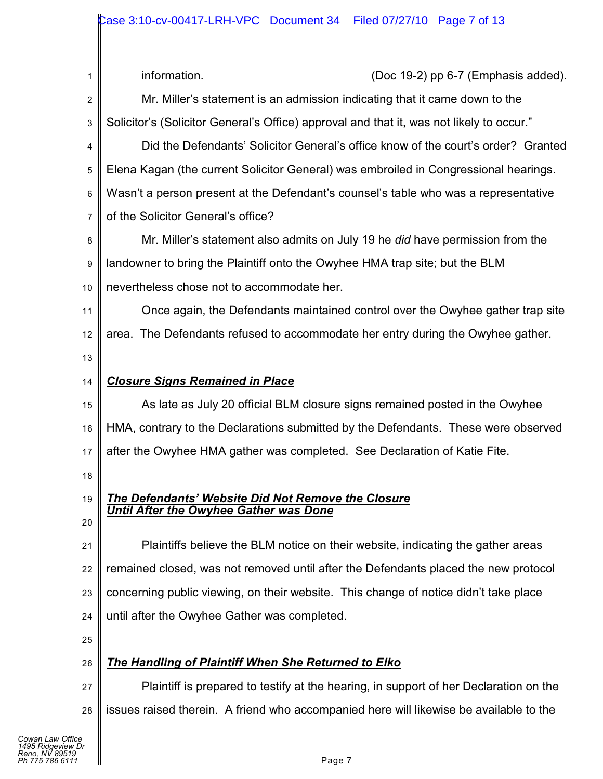| 1  | information.<br>(Doc 19-2) pp 6-7 (Emphasis added).                                          |
|----|----------------------------------------------------------------------------------------------|
| 2  | Mr. Miller's statement is an admission indicating that it came down to the                   |
| 3  | Solicitor's (Solicitor General's Office) approval and that it, was not likely to occur."     |
| 4  | Did the Defendants' Solicitor General's office know of the court's order? Granted            |
| 5  | Elena Kagan (the current Solicitor General) was embroiled in Congressional hearings.         |
| 6  | Wasn't a person present at the Defendant's counsel's table who was a representative          |
| 7  | of the Solicitor General's office?                                                           |
| 8  | Mr. Miller's statement also admits on July 19 he <i>did</i> have permission from the         |
| 9  | landowner to bring the Plaintiff onto the Owyhee HMA trap site; but the BLM                  |
| 10 | nevertheless chose not to accommodate her.                                                   |
| 11 | Once again, the Defendants maintained control over the Owyhee gather trap site               |
| 12 | area. The Defendants refused to accommodate her entry during the Owyhee gather.              |
| 13 |                                                                                              |
| 14 | <b>Closure Signs Remained in Place</b>                                                       |
| 15 | As late as July 20 official BLM closure signs remained posted in the Owyhee                  |
| 16 | HMA, contrary to the Declarations submitted by the Defendants. These were observed           |
| 17 | after the Owyhee HMA gather was completed. See Declaration of Katie Fite.                    |
| 18 |                                                                                              |
| 19 | The Defendants' Website Did Not Remove the Closure<br>Until After the Owyhee Gather was Done |
| 20 |                                                                                              |
| 21 | Plaintiffs believe the BLM notice on their website, indicating the gather areas              |
| 22 | remained closed, was not removed until after the Defendants placed the new protocol          |
| 23 | concerning public viewing, on their website. This change of notice didn't take place         |
| 24 | until after the Owyhee Gather was completed.                                                 |
| 25 |                                                                                              |
| 26 | The Handling of Plaintiff When She Returned to Elko                                          |
| 27 | Plaintiff is prepared to testify at the hearing, in support of her Declaration on the        |
| 28 | issues raised therein. A friend who accompanied here will likewise be available to the       |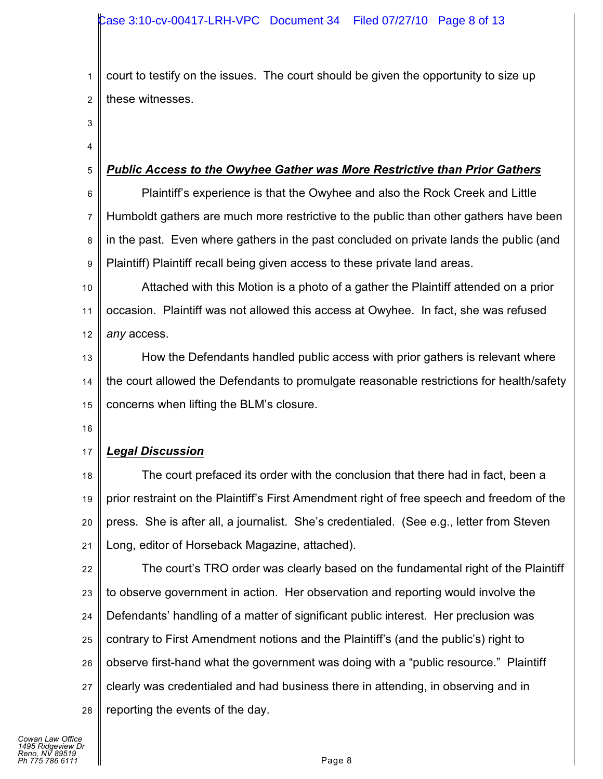1 2 court to testify on the issues. The court should be given the opportunity to size up these witnesses.

3 4

5

## *Public Access to the Owyhee Gather was More Restrictive than Prior Gathers*

6 7 8 9 Plaintiff's experience is that the Owyhee and also the Rock Creek and Little Humboldt gathers are much more restrictive to the public than other gathers have been in the past. Even where gathers in the past concluded on private lands the public (and Plaintiff) Plaintiff recall being given access to these private land areas.

10 11 12 Attached with this Motion is a photo of a gather the Plaintiff attended on a prior occasion. Plaintiff was not allowed this access at Owyhee. In fact, she was refused *any* access.

13 14 15 How the Defendants handled public access with prior gathers is relevant where the court allowed the Defendants to promulgate reasonable restrictions for health/safety concerns when lifting the BLM's closure.

16

#### 17 *Legal Discussion*

18 19 20 21 The court prefaced its order with the conclusion that there had in fact, been a prior restraint on the Plaintiff's First Amendment right of free speech and freedom of the press. She is after all, a journalist. She's credentialed. (See e.g., letter from Steven Long, editor of Horseback Magazine, attached).

22 23 24 25 26 27 28 The court's TRO order was clearly based on the fundamental right of the Plaintiff to observe government in action. Her observation and reporting would involve the Defendants' handling of a matter of significant public interest. Her preclusion was contrary to First Amendment notions and the Plaintiff's (and the public's) right to observe first-hand what the government was doing with a "public resource." Plaintiff clearly was credentialed and had business there in attending, in observing and in reporting the events of the day.

*Cowan Law Office 1495 Ridgeview Dr Reno, NV 89519 Ph 775 786 6111* Page 8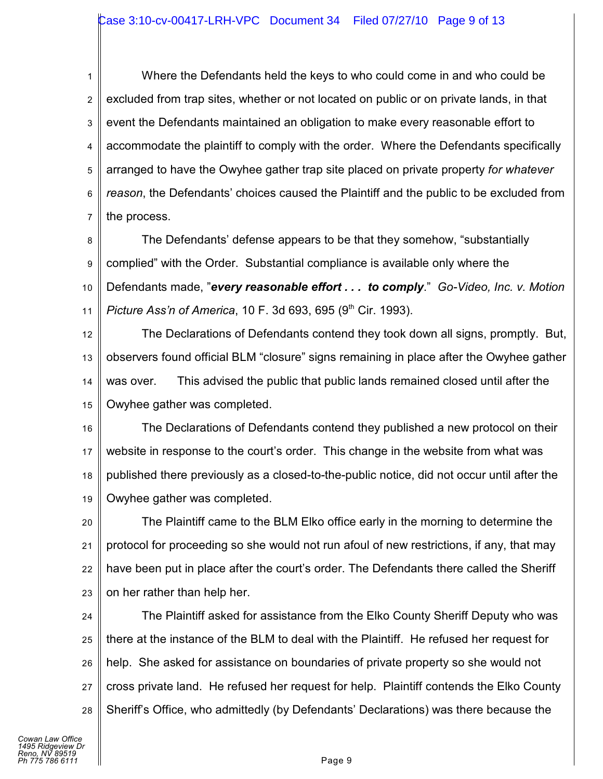1 2 3 4 5 6 7 Where the Defendants held the keys to who could come in and who could be excluded from trap sites, whether or not located on public or on private lands, in that event the Defendants maintained an obligation to make every reasonable effort to accommodate the plaintiff to comply with the order. Where the Defendants specifically arranged to have the Owyhee gather trap site placed on private property *for whatever reason*, the Defendants' choices caused the Plaintiff and the public to be excluded from the process.

8 9 10 11 The Defendants' defense appears to be that they somehow, "substantially complied" with the Order. Substantial compliance is available only where the Defendants made, "*every reasonable effort . . . to comply*." *Go-Video, Inc. v. Motion Picture Ass'n of America*, 10 F. 3d 693, 695 (9<sup>th</sup> Cir. 1993).

12 13 14 15 The Declarations of Defendants contend they took down all signs, promptly. But, observers found official BLM "closure" signs remaining in place after the Owyhee gather was over. This advised the public that public lands remained closed until after the Owyhee gather was completed.

16 17 18 19 The Declarations of Defendants contend they published a new protocol on their website in response to the court's order. This change in the website from what was published there previously as a closed-to-the-public notice, did not occur until after the Owyhee gather was completed.

20 21 22 23 The Plaintiff came to the BLM Elko office early in the morning to determine the protocol for proceeding so she would not run afoul of new restrictions, if any, that may have been put in place after the court's order. The Defendants there called the Sheriff on her rather than help her.

24 25 26 27 28 The Plaintiff asked for assistance from the Elko County Sheriff Deputy who was there at the instance of the BLM to deal with the Plaintiff. He refused her request for help. She asked for assistance on boundaries of private property so she would not cross private land. He refused her request for help. Plaintiff contends the Elko County Sheriff's Office, who admittedly (by Defendants' Declarations) was there because the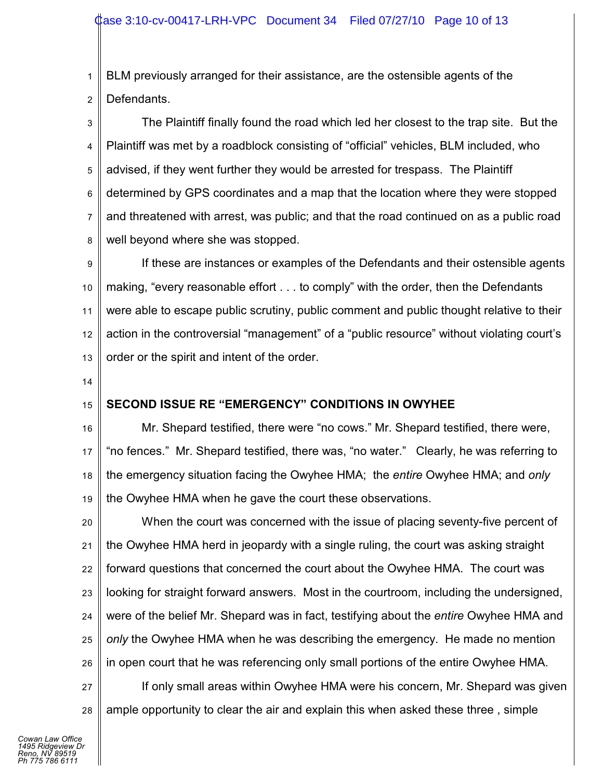1 2 BLM previously arranged for their assistance, are the ostensible agents of the Defendants.

3 4 5 6 7 8 The Plaintiff finally found the road which led her closest to the trap site. But the Plaintiff was met by a roadblock consisting of "official" vehicles, BLM included, who advised, if they went further they would be arrested for trespass. The Plaintiff determined by GPS coordinates and a map that the location where they were stopped and threatened with arrest, was public; and that the road continued on as a public road well beyond where she was stopped.

9 10 11 12 13 If these are instances or examples of the Defendants and their ostensible agents making, "every reasonable effort . . . to comply" with the order, then the Defendants were able to escape public scrutiny, public comment and public thought relative to their action in the controversial "management" of a "public resource" without violating court's order or the spirit and intent of the order.

14

15

### **SECOND ISSUE RE "EMERGENCY" CONDITIONS IN OWYHEE**

16 17 18 19 Mr. Shepard testified, there were "no cows." Mr. Shepard testified, there were, "no fences." Mr. Shepard testified, there was, "no water." Clearly, he was referring to the emergency situation facing the Owyhee HMA; the *entire* Owyhee HMA; and *only* the Owyhee HMA when he gave the court these observations.

20 21 22 23 24 25 26 27 When the court was concerned with the issue of placing seventy-five percent of the Owyhee HMA herd in jeopardy with a single ruling, the court was asking straight forward questions that concerned the court about the Owyhee HMA. The court was looking for straight forward answers. Most in the courtroom, including the undersigned, were of the belief Mr. Shepard was in fact, testifying about the *entire* Owyhee HMA and *only* the Owyhee HMA when he was describing the emergency. He made no mention in open court that he was referencing only small portions of the entire Owyhee HMA. If only small areas within Owyhee HMA were his concern, Mr. Shepard was given

28 ample opportunity to clear the air and explain this when asked these three , simple

*Cowan Law Office 1495 Ridgeview Dr Reno, NV 89519 Ph 775 786 6111*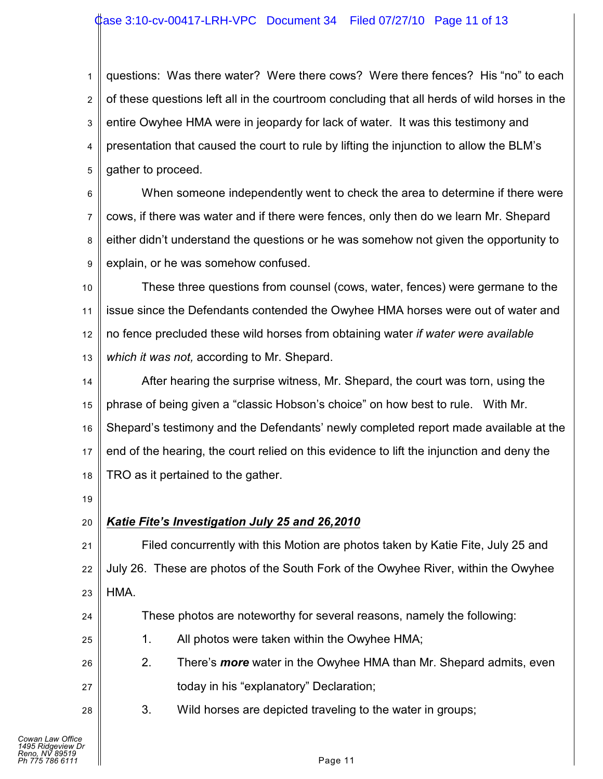### Case 3:10-cv-00417-LRH-VPC Document 34 Filed 07/27/10 Page 11 of 13

1 2 3 4 5 questions: Was there water? Were there cows? Were there fences? His "no" to each of these questions left all in the courtroom concluding that all herds of wild horses in the entire Owyhee HMA were in jeopardy for lack of water. It was this testimony and presentation that caused the court to rule by lifting the injunction to allow the BLM's gather to proceed.

6 7 8 9 When someone independently went to check the area to determine if there were cows, if there was water and if there were fences, only then do we learn Mr. Shepard either didn't understand the questions or he was somehow not given the opportunity to explain, or he was somehow confused.

10 11 12 13 These three questions from counsel (cows, water, fences) were germane to the issue since the Defendants contended the Owyhee HMA horses were out of water and no fence precluded these wild horses from obtaining water *if water were available which it was not,* according to Mr. Shepard.

14 15 16 17 18 After hearing the surprise witness, Mr. Shepard, the court was torn, using the phrase of being given a "classic Hobson's choice" on how best to rule. With Mr. Shepard's testimony and the Defendants' newly completed report made available at the end of the hearing, the court relied on this evidence to lift the injunction and deny the TRO as it pertained to the gather.

19

20

24

25

26

27

28

# *Katie Fite's Investigation July 25 and 26,2010*

21 22 23 Filed concurrently with this Motion are photos taken by Katie Fite, July 25 and July 26. These are photos of the South Fork of the Owyhee River, within the Owyhee HMA.

These photos are noteworthy for several reasons, namely the following:

- 1. All photos were taken within the Owyhee HMA;
- 2. There's *more* water in the Owyhee HMA than Mr. Shepard admits, even today in his "explanatory" Declaration;
	- 3. Wild horses are depicted traveling to the water in groups;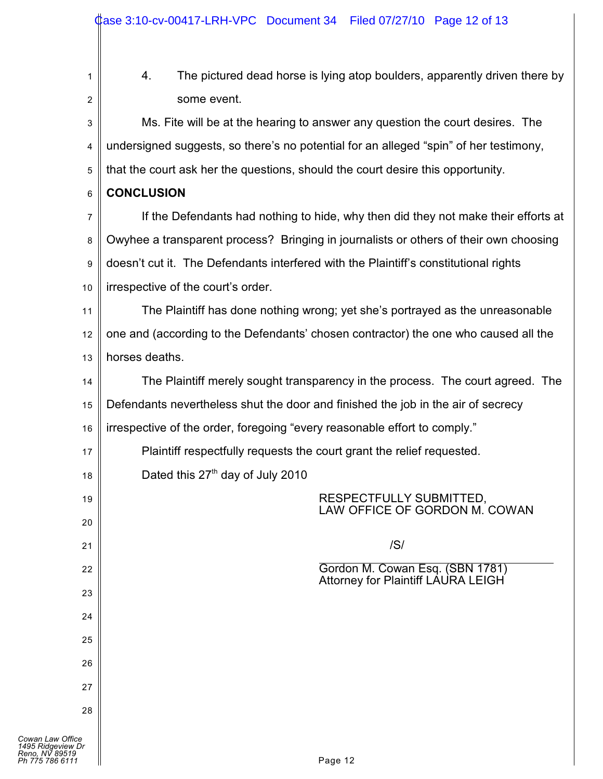| 1                                                                          | The pictured dead horse is lying atop boulders, apparently driven there by<br>4.      |
|----------------------------------------------------------------------------|---------------------------------------------------------------------------------------|
| 2                                                                          | some event.                                                                           |
| 3                                                                          | Ms. Fite will be at the hearing to answer any question the court desires. The         |
| 4                                                                          | undersigned suggests, so there's no potential for an alleged "spin" of her testimony, |
| 5                                                                          | that the court ask her the questions, should the court desire this opportunity.       |
| 6                                                                          | <b>CONCLUSION</b>                                                                     |
| 7                                                                          | If the Defendants had nothing to hide, why then did they not make their efforts at    |
| 8                                                                          | Owyhee a transparent process? Bringing in journalists or others of their own choosing |
| 9                                                                          | doesn't cut it. The Defendants interfered with the Plaintiff's constitutional rights  |
| 10                                                                         | irrespective of the court's order.                                                    |
| 11                                                                         | The Plaintiff has done nothing wrong; yet she's portrayed as the unreasonable         |
| 12                                                                         | one and (according to the Defendants' chosen contractor) the one who caused all the   |
| 13                                                                         | horses deaths.                                                                        |
| 14                                                                         | The Plaintiff merely sought transparency in the process. The court agreed. The        |
| 15                                                                         | Defendants nevertheless shut the door and finished the job in the air of secrecy      |
| 16                                                                         | irrespective of the order, foregoing "every reasonable effort to comply."             |
| 17                                                                         | Plaintiff respectfully requests the court grant the relief requested.                 |
| 18                                                                         | Dated this 27 <sup>th</sup> day of July 2010                                          |
| 19                                                                         | RESPECTFULLY SUBMITTED,<br>LAW OFFICE OF GORDON M. COWAN                              |
| 20                                                                         |                                                                                       |
| 21                                                                         | /S/                                                                                   |
| 22                                                                         | Gordon M. Cowan Esq. (SBN 1781)<br>Attorney for Plaintiff LAURA LEIGH                 |
| 23                                                                         |                                                                                       |
| 24                                                                         |                                                                                       |
| 25                                                                         |                                                                                       |
| 26                                                                         |                                                                                       |
| 27                                                                         |                                                                                       |
| 28                                                                         |                                                                                       |
| Cowan Law Office<br>1495 Ridgeview Dr<br>Reno. NV 89519<br>Ph 775 786 6111 | Page 12                                                                               |